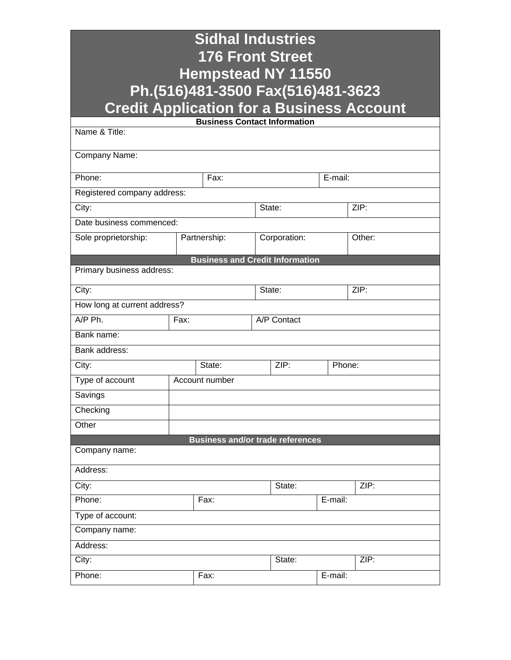| <b>Sidhal Industries</b><br><b>176 Front Street</b><br><b>Hempstead NY 11550</b><br>Ph.(516)481-3500 Fax(516)481-3623<br><b>Credit Application for a Business Account</b> |        |                |              |             |         |  |
|---------------------------------------------------------------------------------------------------------------------------------------------------------------------------|--------|----------------|--------------|-------------|---------|--|
| <b>Business Contact Information</b>                                                                                                                                       |        |                |              |             |         |  |
| Name & Title:                                                                                                                                                             |        |                |              |             |         |  |
| Company Name:                                                                                                                                                             |        |                |              |             |         |  |
| Phone:                                                                                                                                                                    |        |                | Fax:         |             | E-mail: |  |
| Registered company address:                                                                                                                                               |        |                |              |             |         |  |
| City:                                                                                                                                                                     |        |                | State:       |             | ZIP:    |  |
| Date business commenced:                                                                                                                                                  |        |                |              |             |         |  |
| Sole proprietorship:                                                                                                                                                      |        | Partnership:   | Corporation: |             | Other:  |  |
| <b>Business and Credit Information</b><br>Primary business address:<br>ZIP:<br>City:<br>State:                                                                            |        |                |              |             |         |  |
| How long at current address?                                                                                                                                              |        |                |              |             |         |  |
| A/P Ph.                                                                                                                                                                   | Fax:   |                |              | A/P Contact |         |  |
| Bank name:                                                                                                                                                                |        |                |              |             |         |  |
| Bank address:                                                                                                                                                             |        |                |              |             |         |  |
| City:                                                                                                                                                                     | State: |                | ZIP:         |             | Phone:  |  |
| Type of account                                                                                                                                                           |        | Account number |              |             |         |  |
| Savings                                                                                                                                                                   |        |                |              |             |         |  |
| Checking                                                                                                                                                                  |        |                |              |             |         |  |
| Other                                                                                                                                                                     |        |                |              |             |         |  |
| <b>Business and/or trade references</b><br>Company name:                                                                                                                  |        |                |              |             |         |  |
| Address:                                                                                                                                                                  |        |                |              |             |         |  |
| City:                                                                                                                                                                     |        |                | State:       |             | ZIP:    |  |
| Phone:                                                                                                                                                                    |        | Fax:           |              |             | E-mail: |  |
| Type of account:                                                                                                                                                          |        |                |              |             |         |  |
| Company name:                                                                                                                                                             |        |                |              |             |         |  |
| Address:                                                                                                                                                                  |        |                |              |             |         |  |
| City:<br>State:                                                                                                                                                           |        |                | ZIP:         |             |         |  |
| Phone:                                                                                                                                                                    |        | Fax:           |              |             | E-mail: |  |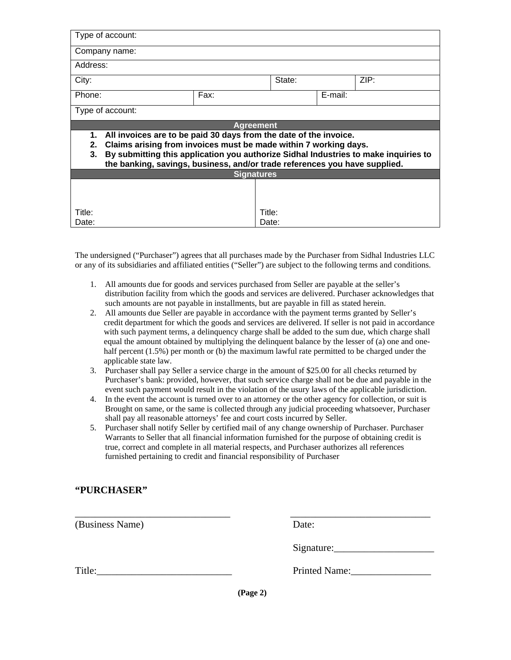| Type of account:                                                                                                                                                                                                                                                                                                             |        |       |         |  |  |
|------------------------------------------------------------------------------------------------------------------------------------------------------------------------------------------------------------------------------------------------------------------------------------------------------------------------------|--------|-------|---------|--|--|
| Company name:                                                                                                                                                                                                                                                                                                                |        |       |         |  |  |
| Address:                                                                                                                                                                                                                                                                                                                     |        |       |         |  |  |
| City:                                                                                                                                                                                                                                                                                                                        | State: |       | ZIP:    |  |  |
| Phone:                                                                                                                                                                                                                                                                                                                       | Fax:   |       | E-mail: |  |  |
| Type of account:                                                                                                                                                                                                                                                                                                             |        |       |         |  |  |
| <b>Agreement</b>                                                                                                                                                                                                                                                                                                             |        |       |         |  |  |
| All invoices are to be paid 30 days from the date of the invoice.<br>1.<br>Claims arising from invoices must be made within 7 working days.<br>2.<br>By submitting this application you authorize Sidhal Industries to make inquiries to<br>3.<br>the banking, savings, business, and/or trade references you have supplied. |        |       |         |  |  |
| <b>Signatures</b>                                                                                                                                                                                                                                                                                                            |        |       |         |  |  |
|                                                                                                                                                                                                                                                                                                                              |        |       |         |  |  |
| Title:                                                                                                                                                                                                                                                                                                                       | Title: |       |         |  |  |
| Date:                                                                                                                                                                                                                                                                                                                        |        | Date: |         |  |  |

The undersigned ("Purchaser") agrees that all purchases made by the Purchaser from Sidhal Industries LLC or any of its subsidiaries and affiliated entities ("Seller") are subject to the following terms and conditions.

- 1. All amounts due for goods and services purchased from Seller are payable at the seller's distribution facility from which the goods and services are delivered. Purchaser acknowledges that such amounts are not payable in installments, but are payable in fill as stated herein.
- 2. All amounts due Seller are payable in accordance with the payment terms granted by Seller's credit department for which the goods and services are delivered. If seller is not paid in accordance with such payment terms, a delinquency charge shall be added to the sum due, which charge shall equal the amount obtained by multiplying the delinquent balance by the lesser of (a) one and onehalf percent (1.5%) per month or (b) the maximum lawful rate permitted to be charged under the applicable state law.
- 3. Purchaser shall pay Seller a service charge in the amount of \$25.00 for all checks returned by Purchaser's bank: provided, however, that such service charge shall not be due and payable in the event such payment would result in the violation of the usury laws of the applicable jurisdiction.
- 4. In the event the account is turned over to an attorney or the other agency for collection, or suit is Brought on same, or the same is collected through any judicial proceeding whatsoever, Purchaser shall pay all reasonable attorneys' fee and court costs incurred by Seller.
- 5. Purchaser shall notify Seller by certified mail of any change ownership of Purchaser. Purchaser Warrants to Seller that all financial information furnished for the purpose of obtaining credit is true, correct and complete in all material respects, and Purchaser authorizes all references furnished pertaining to credit and financial responsibility of Purchaser

## **"PURCHASER"**

| (Business Name) |          | Date:         |
|-----------------|----------|---------------|
|                 |          |               |
| Title:          |          | Printed Name: |
|                 | (Page 2) |               |